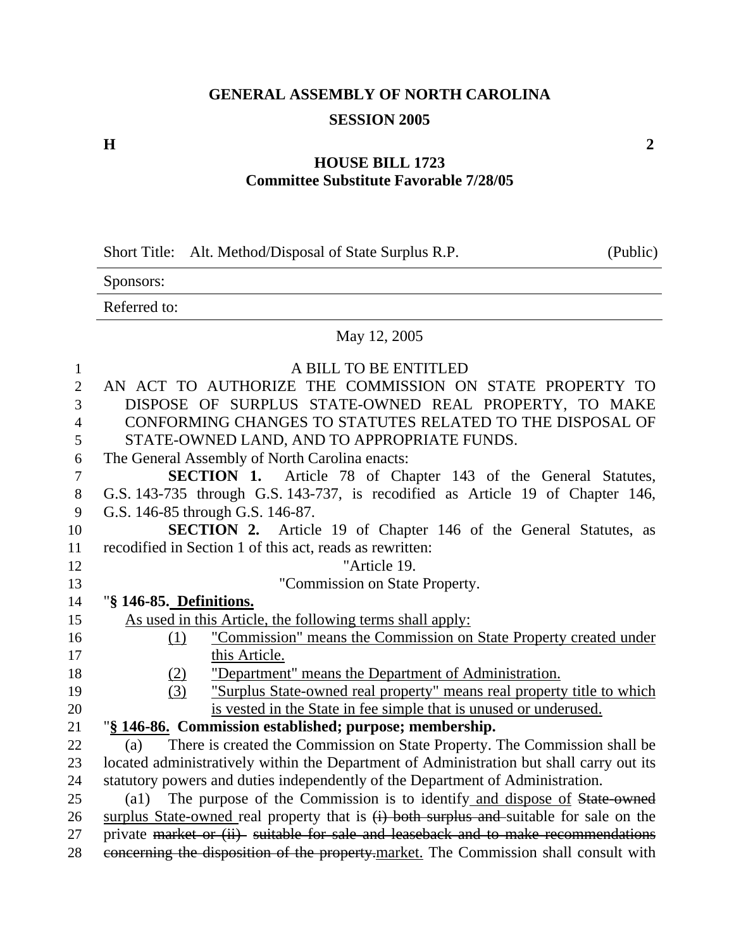# **GENERAL ASSEMBLY OF NORTH CAROLINA SESSION 2005**

#### **H** 2

### **HOUSE BILL 1723 Committee Substitute Favorable 7/28/05**

|  | Short Title: Alt. Method/Disposal of State Surplus R.P. | (Public) |
|--|---------------------------------------------------------|----------|
|--|---------------------------------------------------------|----------|

Sponsors:

Referred to:

#### May 12, 2005

| $\mathbf{1}$   | A BILL TO BE ENTITLED                                                                                                                                                      |
|----------------|----------------------------------------------------------------------------------------------------------------------------------------------------------------------------|
| $\overline{2}$ | AN ACT TO AUTHORIZE THE COMMISSION ON STATE PROPERTY TO                                                                                                                    |
| 3              | DISPOSE OF SURPLUS STATE-OWNED REAL PROPERTY, TO MAKE                                                                                                                      |
| $\overline{4}$ | CONFORMING CHANGES TO STATUTES RELATED TO THE DISPOSAL OF                                                                                                                  |
| 5              | STATE-OWNED LAND, AND TO APPROPRIATE FUNDS.                                                                                                                                |
| 6              | The General Assembly of North Carolina enacts:                                                                                                                             |
| 7              | <b>SECTION 1.</b> Article 78 of Chapter 143 of the General Statutes,                                                                                                       |
| 8              | G.S. 143-735 through G.S. 143-737, is recodified as Article 19 of Chapter 146,                                                                                             |
| 9              | G.S. 146-85 through G.S. 146-87.                                                                                                                                           |
| 10             | <b>SECTION 2.</b> Article 19 of Chapter 146 of the General Statutes, as                                                                                                    |
| 11             | recodified in Section 1 of this act, reads as rewritten:                                                                                                                   |
| 12             | "Article 19.                                                                                                                                                               |
| 13             | "Commission on State Property.                                                                                                                                             |
| 14             | "§ 146-85. Definitions.                                                                                                                                                    |
| 15             | As used in this Article, the following terms shall apply:                                                                                                                  |
| 16             | "Commission" means the Commission on State Property created under<br>(1)                                                                                                   |
| 17             | this Article.                                                                                                                                                              |
| 18             | "Department" means the Department of Administration.<br><u>(2)</u>                                                                                                         |
| 19             | (3)<br>"Surplus State-owned real property" means real property title to which                                                                                              |
| 20             | is vested in the State in fee simple that is unused or underused.                                                                                                          |
| 21             | "§ 146-86. Commission established; purpose; membership.                                                                                                                    |
| 22             | There is created the Commission on State Property. The Commission shall be<br>(a)                                                                                          |
| 23             | located administratively within the Department of Administration but shall carry out its                                                                                   |
| 24             | statutory powers and duties independently of the Department of Administration.                                                                                             |
|                | (a1) The purpose of the Commission is to identify and dispose of State owned                                                                                               |
| 25             |                                                                                                                                                                            |
| 26             | surplus State-owned real property that is $(i)$ both surplus and suitable for sale on the                                                                                  |
| 27             | private market or (ii) suitable for sale and leaseback and to make recommendations<br>concerning the disposition of the property-market. The Commission shall consult with |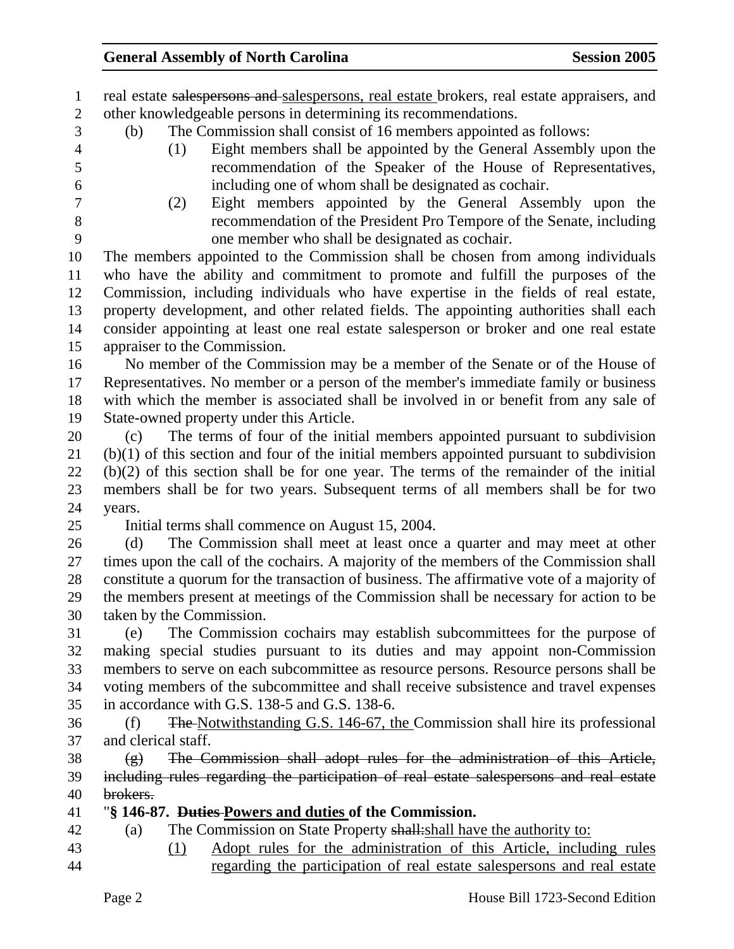1 real estate salespersons and salespersons, real estate brokers, real estate appraisers, and 2 other knowledgeable persons in determining its recommendations.

- 3 (b) The Commission shall consist of 16 members appointed as follows:
- 
- 4 (1) Eight members shall be appointed by the General Assembly upon the 5 recommendation of the Speaker of the House of Representatives, 6 including one of whom shall be designated as cochair.
- 
- 7 (2) Eight members appointed by the General Assembly upon the 8 recommendation of the President Pro Tempore of the Senate, including 9 one member who shall be designated as cochair.

10 The members appointed to the Commission shall be chosen from among individuals 11 who have the ability and commitment to promote and fulfill the purposes of the 12 Commission, including individuals who have expertise in the fields of real estate, 13 property development, and other related fields. The appointing authorities shall each 14 consider appointing at least one real estate salesperson or broker and one real estate 15 appraiser to the Commission.

16 No member of the Commission may be a member of the Senate or of the House of 17 Representatives. No member or a person of the member's immediate family or business 18 with which the member is associated shall be involved in or benefit from any sale of 19 State-owned property under this Article.

20 (c) The terms of four of the initial members appointed pursuant to subdivision 21 (b)(1) of this section and four of the initial members appointed pursuant to subdivision 22 (b)(2) of this section shall be for one year. The terms of the remainder of the initial 23 members shall be for two years. Subsequent terms of all members shall be for two 24 years.

25 Initial terms shall commence on August 15, 2004.

26 (d) The Commission shall meet at least once a quarter and may meet at other 27 times upon the call of the cochairs. A majority of the members of the Commission shall 28 constitute a quorum for the transaction of business. The affirmative vote of a majority of 29 the members present at meetings of the Commission shall be necessary for action to be 30 taken by the Commission.

31 (e) The Commission cochairs may establish subcommittees for the purpose of 32 making special studies pursuant to its duties and may appoint non-Commission 33 members to serve on each subcommittee as resource persons. Resource persons shall be 34 voting members of the subcommittee and shall receive subsistence and travel expenses 35 in accordance with G.S. 138-5 and G.S. 138-6.

36 (f) The Notwithstanding G.S. 146-67, the Commission shall hire its professional 37 and clerical staff.

 $38$  (g) The Commission shall adopt rules for the administration of this Article, 39 including rules regarding the participation of real estate salespersons and real estate 40 brokers.

### 41 "**§ 146-87. Duties Powers and duties of the Commission.**

- 42 (a) The Commission on State Property shall: shall have the authority to:
- 
- 43 (1) Adopt rules for the administration of this Article, including rules
- 44 regarding the participation of real estate salespersons and real estate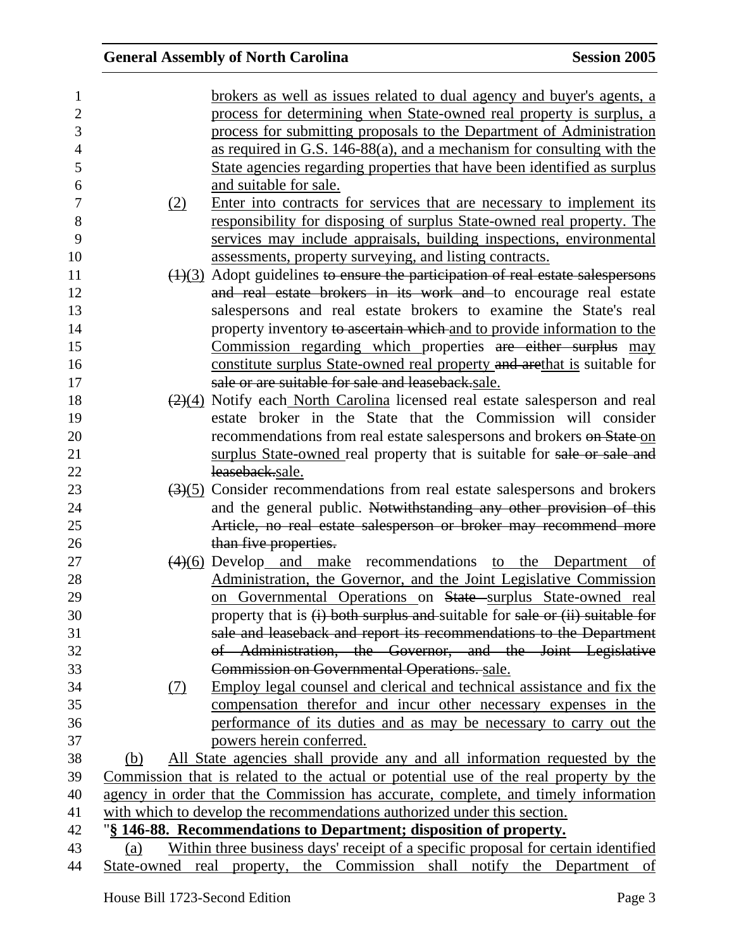| $\mathbf{1}$     |            | brokers as well as issues related to dual agency and buyer's agents, a                              |
|------------------|------------|-----------------------------------------------------------------------------------------------------|
| $\mathbf{2}$     |            | process for determining when State-owned real property is surplus, a                                |
| 3                |            | process for submitting proposals to the Department of Administration                                |
| $\overline{4}$   |            | as required in G.S. 146-88(a), and a mechanism for consulting with the                              |
| 5                |            | State agencies regarding properties that have been identified as surplus                            |
| 6                |            | and suitable for sale.                                                                              |
| $\boldsymbol{7}$ | (2)        | Enter into contracts for services that are necessary to implement its                               |
| 8                |            | responsibility for disposing of surplus State-owned real property. The                              |
| 9                |            | services may include appraisals, building inspections, environmental                                |
| 10               |            | assessments, property surveying, and listing contracts.                                             |
| 11               |            | $\left(\frac{1}{3}\right)$ Adopt guidelines to ensure the participation of real estate salespersons |
| 12               |            | and real estate brokers in its work and to encourage real estate                                    |
| 13               |            | salespersons and real estate brokers to examine the State's real                                    |
| 14               |            | property inventory to ascertain which and to provide information to the                             |
| 15               |            | Commission regarding which properties are either surplus may                                        |
| 16               |            | constitute surplus State-owned real property and arethat is suitable for                            |
| 17               |            | sale or are suitable for sale and leaseback.sale.                                                   |
| 18               |            | $\left(\frac{2}{4}\right)$ Notify each North Carolina licensed real estate salesperson and real     |
| 19               |            | estate broker in the State that the Commission will consider                                        |
| 20               |            | recommendations from real estate salespersons and brokers on State on                               |
| 21               |            | surplus State-owned real property that is suitable for sale or sale and                             |
| 22               |            | leaseback.sale.                                                                                     |
| 23               |            | $\left(\frac{3}{5}\right)$ Consider recommendations from real estate salespersons and brokers       |
| 24               |            | and the general public. Notwithstanding any other provision of this                                 |
| 25               |            | Article, no real estate salesperson or broker may recommend more                                    |
| 26               |            | than five properties.                                                                               |
| 27               |            | $\left(\frac{4}{6}\right)$ Develop and make recommendations to the Department of                    |
| 28               |            | Administration, the Governor, and the Joint Legislative Commission                                  |
| 29               |            | on Governmental Operations on State surplus State-owned real                                        |
| 30               |            | property that is (i) both surplus and suitable for sale or (ii) suitable for                        |
| 31               |            | sale and leaseback and report its recommendations to the Department                                 |
| 32               |            | of Administration, the Governor, and the Joint Legislative                                          |
| 33               |            | Commission on Governmental Operations. sale.                                                        |
| 34               | <u>(7)</u> | Employ legal counsel and clerical and technical assistance and fix the                              |
| 35               |            | compensation therefor and incur other necessary expenses in the                                     |
| 36               |            | performance of its duties and as may be necessary to carry out the                                  |
| 37               |            | powers herein conferred.                                                                            |
| 38               | (b)        | All State agencies shall provide any and all information requested by the                           |
| 39               |            | Commission that is related to the actual or potential use of the real property by the               |
| 40               |            | agency in order that the Commission has accurate, complete, and timely information                  |
| 41               |            | with which to develop the recommendations authorized under this section.                            |
| 42               |            | "§ 146-88. Recommendations to Department; disposition of property.                                  |
| 43               | (a)        | Within three business days' receipt of a specific proposal for certain identified                   |
| 44               |            | State-owned real property, the Commission shall notify the Department of                            |
|                  |            |                                                                                                     |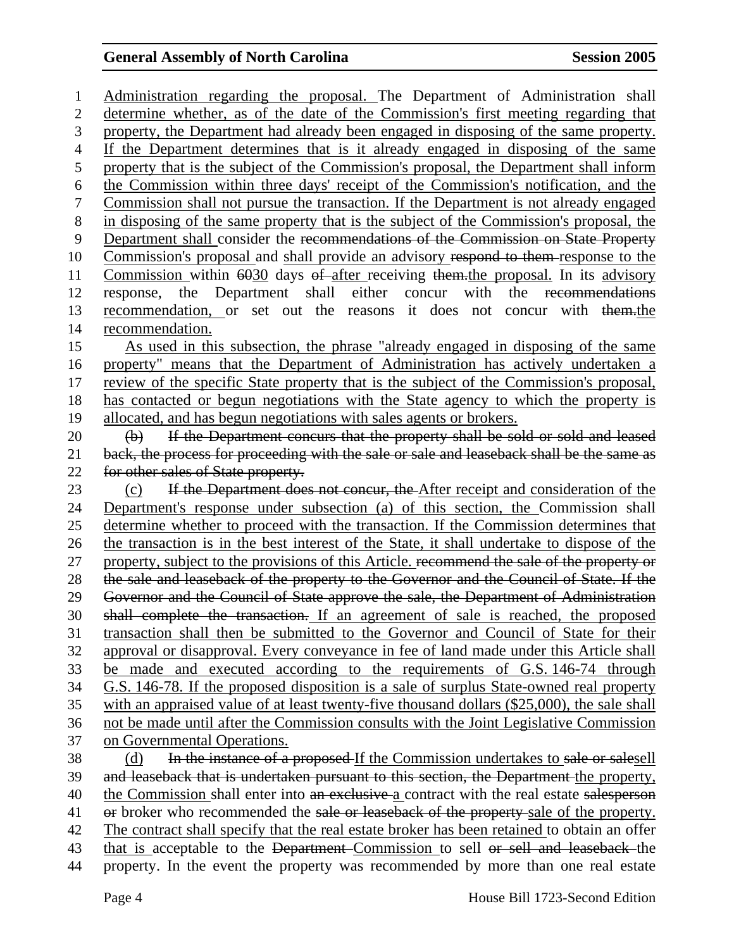1 Administration regarding the proposal. The Department of Administration shall 2 determine whether, as of the date of the Commission's first meeting regarding that 3 property, the Department had already been engaged in disposing of the same property. 4 If the Department determines that is it already engaged in disposing of the same 5 property that is the subject of the Commission's proposal, the Department shall inform 6 the Commission within three days' receipt of the Commission's notification, and the 7 Commission shall not pursue the transaction. If the Department is not already engaged 8 in disposing of the same property that is the subject of the Commission's proposal, the 9 Department shall consider the recommendations of the Commission on State Property 10 Commission's proposal and shall provide an advisory respond to them response to the 11 Commission within 6030 days of after receiving them. the proposal. In its advisory 12 response, the Department shall either concur with the recommendations 13 recommendation, or set out the reasons it does not concur with them.the 14 recommendation. 15 As used in this subsection, the phrase "already engaged in disposing of the same 16 property" means that the Department of Administration has actively undertaken a 17 review of the specific State property that is the subject of the Commission's proposal, 18 has contacted or begun negotiations with the State agency to which the property is 19 allocated, and has begun negotiations with sales agents or brokers. 20 (b) If the Department concurs that the property shall be sold or sold and leased 21 back, the process for proceeding with the sale or sale and leaseback shall be the same as 22 for other sales of State property. 23 (c) If the Department does not concur, the After receipt and consideration of the 24 Department's response under subsection (a) of this section, the Commission shall 25 determine whether to proceed with the transaction. If the Commission determines that 26 the transaction is in the best interest of the State, it shall undertake to dispose of the 27 property, subject to the provisions of this Article. recommend the sale of the property or 28 the sale and leaseback of the property to the Governor and the Council of State. If the 29 Governor and the Council of State approve the sale, the Department of Administration 30 shall complete the transaction. If an agreement of sale is reached, the proposed 31 transaction shall then be submitted to the Governor and Council of State for their 32 approval or disapproval. Every conveyance in fee of land made under this Article shall 33 be made and executed according to the requirements of G.S. 146-74 through 34 G.S. 146-78. If the proposed disposition is a sale of surplus State-owned real property 35 with an appraised value of at least twenty-five thousand dollars (\$25,000), the sale shall 36 not be made until after the Commission consults with the Joint Legislative Commission 37 on Governmental Operations. 38 (d) In the instance of a proposed If the Commission undertakes to sale or salesell 39 and leaseback that is undertaken pursuant to this section, the Department the property, 40 the Commission shall enter into an exclusive a contract with the real estate salesperson 41 or broker who recommended the sale or leaseback of the property-sale of the property. 42 The contract shall specify that the real estate broker has been retained to obtain an offer 43 that is acceptable to the Department-Commission to sell or sell and leaseback the 44 property. In the event the property was recommended by more than one real estate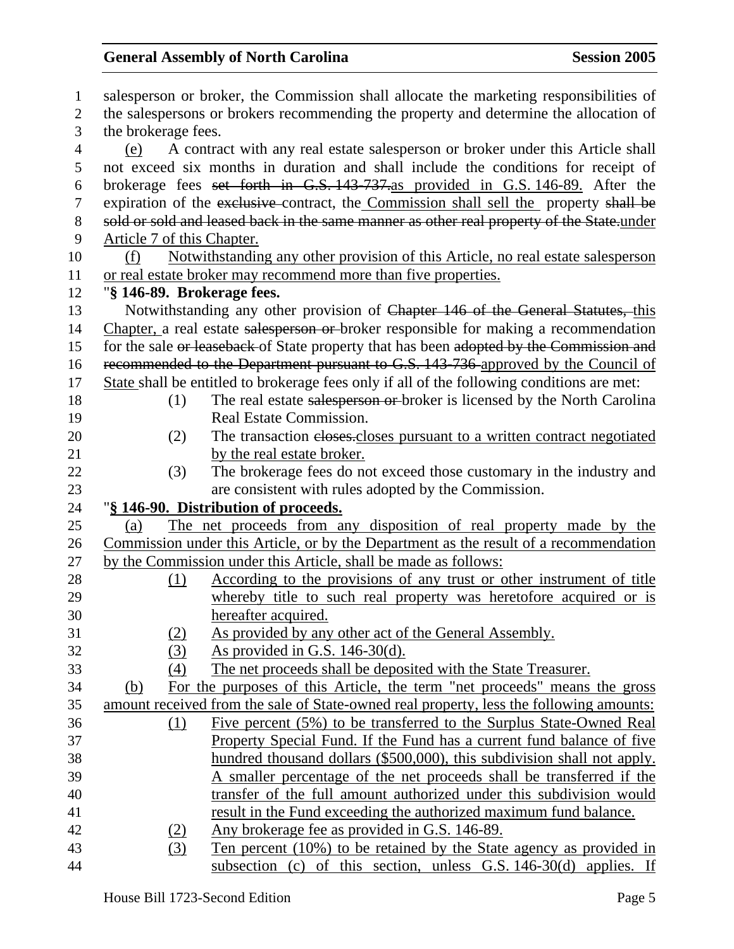| $\mathbf{1}$   | salesperson or broker, the Commission shall allocate the marketing responsibilities of |                                                                                            |  |  |
|----------------|----------------------------------------------------------------------------------------|--------------------------------------------------------------------------------------------|--|--|
| $\overline{2}$ | the salespersons or brokers recommending the property and determine the allocation of  |                                                                                            |  |  |
| 3              | the brokerage fees.                                                                    |                                                                                            |  |  |
| $\overline{4}$ | (e)                                                                                    | A contract with any real estate salesperson or broker under this Article shall             |  |  |
| 5              |                                                                                        | not exceed six months in duration and shall include the conditions for receipt of          |  |  |
| 6              |                                                                                        | brokerage fees set forth in G.S. 143-737 as provided in G.S. 146-89. After the             |  |  |
| $\tau$         |                                                                                        | expiration of the exclusive contract, the Commission shall sell the property shall be      |  |  |
| 8              |                                                                                        | sold or sold and leased back in the same manner as other real property of the State.under  |  |  |
| 9              | Article 7 of this Chapter.                                                             |                                                                                            |  |  |
| 10             | (f)                                                                                    | Notwithstanding any other provision of this Article, no real estate salesperson            |  |  |
| 11             |                                                                                        | or real estate broker may recommend more than five properties.                             |  |  |
| 12             | "§ 146-89. Brokerage fees.                                                             |                                                                                            |  |  |
| 13             |                                                                                        | Notwithstanding any other provision of Chapter 146 of the General Statutes, this           |  |  |
| 14             |                                                                                        | Chapter, a real estate salesperson or broker responsible for making a recommendation       |  |  |
| 15             |                                                                                        | for the sale or leaseback of State property that has been adopted by the Commission and    |  |  |
| 16             |                                                                                        | recommended to the Department pursuant to G.S. 143-736 approved by the Council of          |  |  |
| 17             |                                                                                        | State shall be entitled to brokerage fees only if all of the following conditions are met: |  |  |
| 18             | (1)                                                                                    | The real estate salesperson or broker is licensed by the North Carolina                    |  |  |
| 19             |                                                                                        | Real Estate Commission.                                                                    |  |  |
| 20             | (2)                                                                                    | The transaction eloses-closes pursuant to a written contract negotiated                    |  |  |
| 21             |                                                                                        | by the real estate broker.                                                                 |  |  |
| 22             | (3)                                                                                    | The brokerage fees do not exceed those customary in the industry and                       |  |  |
| 23             |                                                                                        | are consistent with rules adopted by the Commission.                                       |  |  |
| 24             |                                                                                        | "§ 146-90. Distribution of proceeds.                                                       |  |  |
| 25             | (a)                                                                                    | The net proceeds from any disposition of real property made by the                         |  |  |
| 26             |                                                                                        | Commission under this Article, or by the Department as the result of a recommendation      |  |  |
| 27             |                                                                                        | by the Commission under this Article, shall be made as follows:                            |  |  |
| 28             | (1)                                                                                    | According to the provisions of any trust or other instrument of title                      |  |  |
| 29             |                                                                                        | whereby title to such real property was heretofore acquired or is                          |  |  |
| 30             |                                                                                        | hereafter acquired.                                                                        |  |  |
| 31             | <u>(2)</u>                                                                             | As provided by any other act of the General Assembly.                                      |  |  |
| 32             | (3)                                                                                    | As provided in G.S. $146-30(d)$ .                                                          |  |  |
| 33             | (4)                                                                                    | The net proceeds shall be deposited with the State Treasurer.                              |  |  |
| 34             | (b)                                                                                    | For the purposes of this Article, the term "net proceeds" means the gross                  |  |  |
| 35             |                                                                                        | amount received from the sale of State-owned real property, less the following amounts:    |  |  |
| 36             | (1)                                                                                    | Five percent (5%) to be transferred to the Surplus State-Owned Real                        |  |  |
| 37             |                                                                                        | Property Special Fund. If the Fund has a current fund balance of five                      |  |  |
| 38             |                                                                                        | hundred thousand dollars (\$500,000), this subdivision shall not apply.                    |  |  |
| 39             |                                                                                        | A smaller percentage of the net proceeds shall be transferred if the                       |  |  |
| 40             |                                                                                        | transfer of the full amount authorized under this subdivision would                        |  |  |
| 41             |                                                                                        | result in the Fund exceeding the authorized maximum fund balance.                          |  |  |
| 42             | (2)                                                                                    | Any brokerage fee as provided in G.S. 146-89.                                              |  |  |
| 43             | (3)                                                                                    | Ten percent (10%) to be retained by the State agency as provided in                        |  |  |
| 44             |                                                                                        | subsection (c) of this section, unless $G.S. 146-30(d)$ applies. If                        |  |  |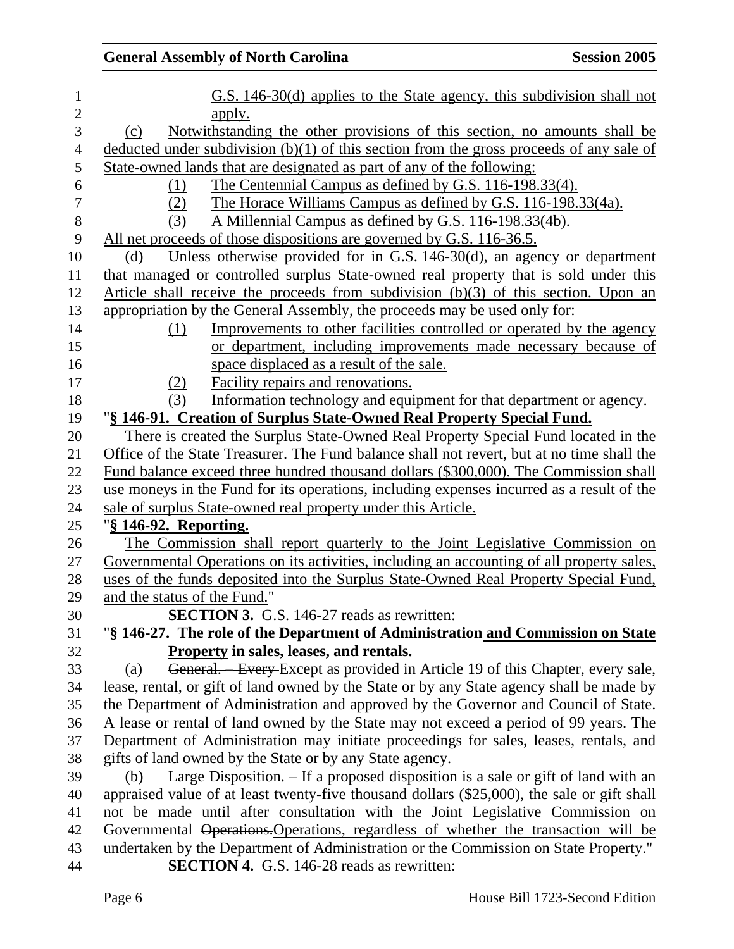| $\mathbf 1$      | G.S. 146-30(d) applies to the State agency, this subdivision shall not                           |
|------------------|--------------------------------------------------------------------------------------------------|
| $\overline{2}$   | <u>apply.</u>                                                                                    |
| 3                | Notwithstanding the other provisions of this section, no amounts shall be<br>(c)                 |
| $\overline{4}$   | deducted under subdivision $(b)(1)$ of this section from the gross proceeds of any sale of       |
| 5                | State-owned lands that are designated as part of any of the following:                           |
| 6                | The Centennial Campus as defined by G.S. 116-198.33(4).<br>(1)                                   |
| $\boldsymbol{7}$ | The Horace Williams Campus as defined by G.S. 116-198.33(4a).<br>(2)                             |
| $8\,$            | A Millennial Campus as defined by G.S. 116-198.33(4b).<br>(3)                                    |
| 9                | All net proceeds of those dispositions are governed by G.S. 116-36.5.                            |
| 10               | Unless otherwise provided for in G.S. 146-30(d), an agency or department<br>(d)                  |
| 11               | that managed or controlled surplus State-owned real property that is sold under this             |
| 12               | Article shall receive the proceeds from subdivision (b)(3) of this section. Upon an              |
| 13               | appropriation by the General Assembly, the proceeds may be used only for:                        |
| 14               | Improvements to other facilities controlled or operated by the agency<br>(1)                     |
| 15               | or department, including improvements made necessary because of                                  |
| 16               | space displaced as a result of the sale.                                                         |
| 17               | <b>Facility repairs and renovations.</b><br>(2)                                                  |
| 18               | Information technology and equipment for that department or agency.<br>(3)                       |
| 19               | "§ 146-91. Creation of Surplus State-Owned Real Property Special Fund.                           |
| 20               | There is created the Surplus State-Owned Real Property Special Fund located in the               |
| 21               | Office of the State Treasurer. The Fund balance shall not revert, but at no time shall the       |
| 22               | Fund balance exceed three hundred thousand dollars (\$300,000). The Commission shall             |
| 23               | use moneys in the Fund for its operations, including expenses incurred as a result of the        |
| 24               | sale of surplus State-owned real property under this Article.                                    |
| 25               | "§ 146-92. Reporting.                                                                            |
| 26               | The Commission shall report quarterly to the Joint Legislative Commission on                     |
| 27               | <u>Governmental Operations on its activities, including an accounting of all property sales,</u> |
| 28               | uses of the funds deposited into the Surplus State-Owned Real Property Special Fund,             |
| 29               | and the status of the Fund."                                                                     |
| 30               | <b>SECTION 3.</b> G.S. 146-27 reads as rewritten:                                                |
| 31               | "§ 146-27. The role of the Department of Administration and Commission on State                  |
| 32               | Property in sales, leases, and rentals.                                                          |
| 33               | General. - Every Except as provided in Article 19 of this Chapter, every sale,<br>(a)            |
| 34               | lease, rental, or gift of land owned by the State or by any State agency shall be made by        |
| 35               | the Department of Administration and approved by the Governor and Council of State.              |
| 36               | A lease or rental of land owned by the State may not exceed a period of 99 years. The            |
| 37               | Department of Administration may initiate proceedings for sales, leases, rentals, and            |
| 38               | gifts of land owned by the State or by any State agency.                                         |
| 39               | Large Disposition. If a proposed disposition is a sale or gift of land with an<br>(b)            |
| 40               | appraised value of at least twenty-five thousand dollars (\$25,000), the sale or gift shall      |
| 41               | not be made until after consultation with the Joint Legislative Commission on                    |
| 42               | Governmental Operations. Operations, regardless of whether the transaction will be               |
| 43               | undertaken by the Department of Administration or the Commission on State Property."             |
| 44               | <b>SECTION 4.</b> G.S. 146-28 reads as rewritten:                                                |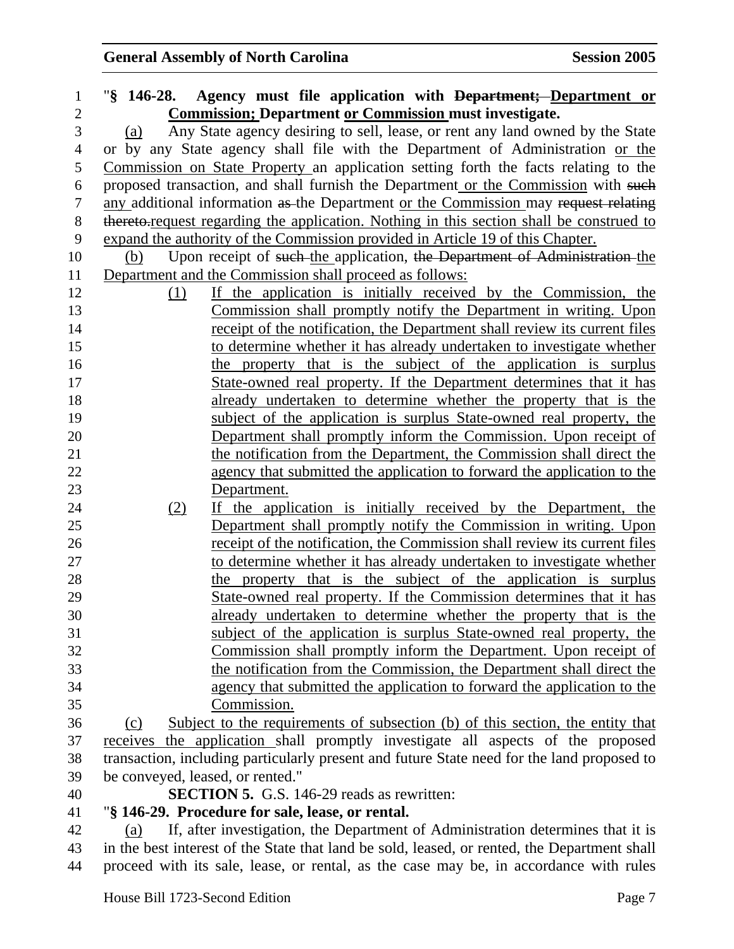| $\mathbf{1}$ |     | "§ 146-28. Agency must file application with Department; Department or                                                                  |
|--------------|-----|-----------------------------------------------------------------------------------------------------------------------------------------|
| $\mathbf{2}$ |     | <b>Commission; Department or Commission must investigate.</b>                                                                           |
| 3            | (a) | Any State agency desiring to sell, lease, or rent any land owned by the State                                                           |
| 4            |     | or by any State agency shall file with the Department of Administration or the                                                          |
| 5            |     | Commission on State Property an application setting forth the facts relating to the                                                     |
| 6            |     | proposed transaction, and shall furnish the Department or the Commission with such                                                      |
| $\tau$       |     | any additional information as the Department or the Commission may request relating                                                     |
| $8\,$        |     | thereto-request regarding the application. Nothing in this section shall be construed to                                                |
| 9            |     | expand the authority of the Commission provided in Article 19 of this Chapter.                                                          |
| 10           | (b) | Upon receipt of such the application, the Department of Administration the                                                              |
| 11           |     | Department and the Commission shall proceed as follows:                                                                                 |
| 12           |     | If the application is initially received by the Commission, the<br>(1)                                                                  |
| 13           |     | Commission shall promptly notify the Department in writing. Upon                                                                        |
| 14           |     | receipt of the notification, the Department shall review its current files                                                              |
| 15           |     | to determine whether it has already undertaken to investigate whether                                                                   |
| 16           |     | the property that is the subject of the application is surplus                                                                          |
| 17           |     | State-owned real property. If the Department determines that it has                                                                     |
| 18           |     | already undertaken to determine whether the property that is the                                                                        |
| 19           |     | subject of the application is surplus State-owned real property, the                                                                    |
| 20           |     | Department shall promptly inform the Commission. Upon receipt of                                                                        |
| 21           |     | the notification from the Department, the Commission shall direct the                                                                   |
| 22           |     | agency that submitted the application to forward the application to the                                                                 |
| 23           |     | Department.                                                                                                                             |
| 24           |     | If the application is initially received by the Department, the<br>(2)                                                                  |
| 25           |     | Department shall promptly notify the Commission in writing. Upon                                                                        |
| 26<br>27     |     | receipt of the notification, the Commission shall review its current files                                                              |
| 28           |     | to determine whether it has already undertaken to investigate whether<br>the property that is the subject of the application is surplus |
| 29           |     | State-owned real property. If the Commission determines that it has                                                                     |
| 30           |     | already undertaken to determine whether the property that is the                                                                        |
| 31           |     | subject of the application is surplus State-owned real property, the                                                                    |
| 32           |     | Commission shall promptly inform the Department. Upon receipt of                                                                        |
| 33           |     | the notification from the Commission, the Department shall direct the                                                                   |
| 34           |     | agency that submitted the application to forward the application to the                                                                 |
| 35           |     | Commission.                                                                                                                             |
| 36           | (c) | Subject to the requirements of subsection (b) of this section, the entity that                                                          |
| 37           |     | receives the application shall promptly investigate all aspects of the proposed                                                         |
| 38           |     | transaction, including particularly present and future State need for the land proposed to                                              |
| 39           |     | be conveyed, leased, or rented."                                                                                                        |
| 40           |     | <b>SECTION 5.</b> G.S. 146-29 reads as rewritten:                                                                                       |
| 41           |     | "§ 146-29. Procedure for sale, lease, or rental.                                                                                        |
| 42           | (a) | If, after investigation, the Department of Administration determines that it is                                                         |
| 43           |     | in the best interest of the State that land be sold, leased, or rented, the Department shall                                            |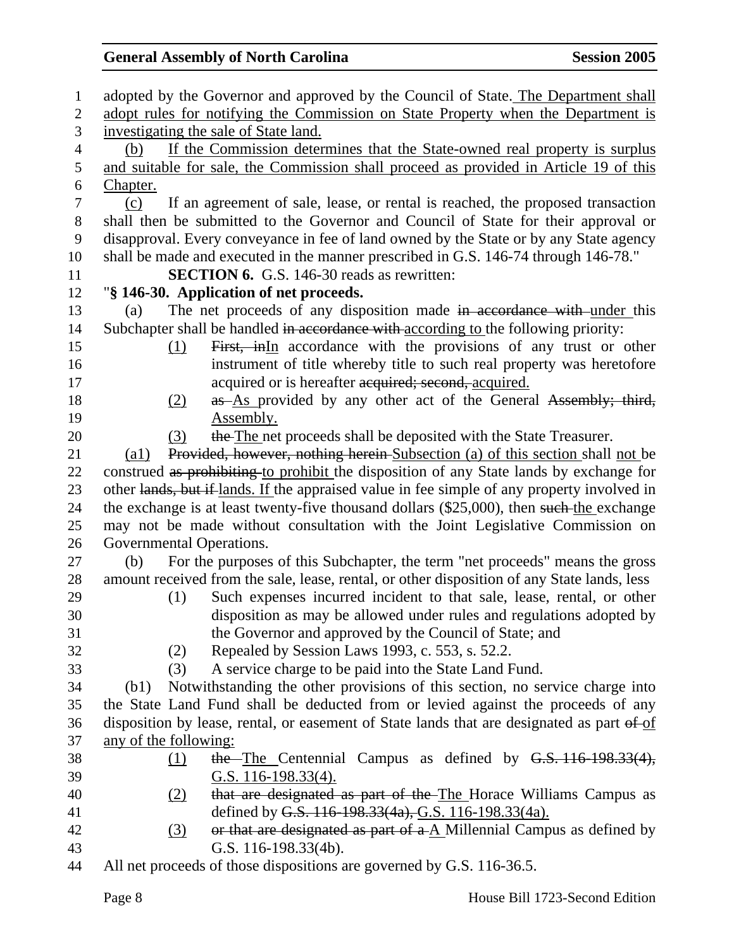| $\mathbf{1}$   | adopted by the Governor and approved by the Council of State. The Department shall                  |  |  |
|----------------|-----------------------------------------------------------------------------------------------------|--|--|
| $\mathbf{2}$   | adopt rules for notifying the Commission on State Property when the Department is                   |  |  |
| 3              | investigating the sale of State land.                                                               |  |  |
| $\overline{4}$ | If the Commission determines that the State-owned real property is surplus<br>(b)                   |  |  |
| 5              | and suitable for sale, the Commission shall proceed as provided in Article 19 of this               |  |  |
| 6              | Chapter.                                                                                            |  |  |
| 7              | If an agreement of sale, lease, or rental is reached, the proposed transaction<br>(c)               |  |  |
| 8              | shall then be submitted to the Governor and Council of State for their approval or                  |  |  |
| 9              | disapproval. Every conveyance in fee of land owned by the State or by any State agency              |  |  |
| 10             | shall be made and executed in the manner prescribed in G.S. 146-74 through 146-78."                 |  |  |
| 11             | <b>SECTION 6.</b> G.S. 146-30 reads as rewritten:                                                   |  |  |
| 12             | "§ 146-30. Application of net proceeds.                                                             |  |  |
| 13             | The net proceeds of any disposition made in accordance with under this<br>(a)                       |  |  |
| 14             | Subchapter shall be handled in accordance with according to the following priority:                 |  |  |
| 15             | First, inIn accordance with the provisions of any trust or other<br>(1)                             |  |  |
| 16             | instrument of title whereby title to such real property was heretofore                              |  |  |
| 17             | acquired or is hereafter acquired; second, acquired.                                                |  |  |
| 18             | as As provided by any other act of the General Assembly; third,<br>(2)                              |  |  |
| 19             | Assembly.                                                                                           |  |  |
| 20             | the The net proceeds shall be deposited with the State Treasurer.<br>(3)                            |  |  |
| 21             | Provided, however, nothing herein-Subsection (a) of this section shall not be<br>$\left( a1\right)$ |  |  |
| 22             | construed as prohibiting to prohibit the disposition of any State lands by exchange for             |  |  |
| 23             | other lands, but if lands. If the appraised value in fee simple of any property involved in         |  |  |
| 24             | the exchange is at least twenty-five thousand dollars (\$25,000), then such the exchange            |  |  |
| 25             | may not be made without consultation with the Joint Legislative Commission on                       |  |  |
| 26             | Governmental Operations.                                                                            |  |  |
| 27             | For the purposes of this Subchapter, the term "net proceeds" means the gross<br>(b)                 |  |  |
| 28             | amount received from the sale, lease, rental, or other disposition of any State lands, less         |  |  |
| 29             | Such expenses incurred incident to that sale, lease, rental, or other<br>(1)                        |  |  |
| 30             | disposition as may be allowed under rules and regulations adopted by                                |  |  |
| 31             | the Governor and approved by the Council of State; and                                              |  |  |
| 32             | Repealed by Session Laws 1993, c. 553, s. 52.2.<br>(2)                                              |  |  |
| 33             | A service charge to be paid into the State Land Fund.<br>(3)                                        |  |  |
| 34             | Notwithstanding the other provisions of this section, no service charge into<br>(b1)                |  |  |
| 35             | the State Land Fund shall be deducted from or levied against the proceeds of any                    |  |  |
| 36             | disposition by lease, rental, or easement of State lands that are designated as part of of          |  |  |
| 37             | any of the following:                                                                               |  |  |
| 38             | the The Centennial Campus as defined by G.S. 116-198.33(4),<br>(1)                                  |  |  |
| 39             | G.S. 116-198.33(4).                                                                                 |  |  |
| 40             | that are designated as part of the The Horace Williams Campus as<br>(2)                             |  |  |
| 41             | defined by G.S. 116-198.33(4a), G.S. 116-198.33(4a).                                                |  |  |
| 42<br>43       | or that are designated as part of $a \Delta$ Millennial Campus as defined by<br>(3)                 |  |  |
|                | G.S. 116-198.33(4b).<br>$\bigcap$ $\bigcap$ 11/ $\bigcap$                                           |  |  |

44 All net proceeds of those dispositions are governed by G.S. 116-36.5.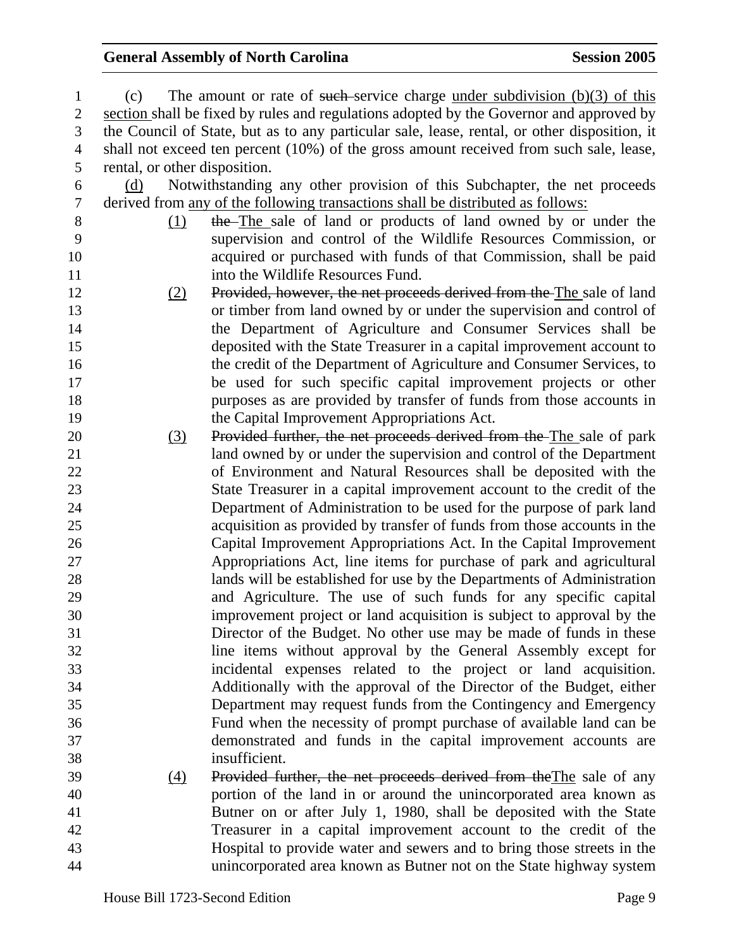| 1              | (c)                                                                                          | The amount or rate of such service charge under subdivision $(b)(3)$ of this           |  |  |
|----------------|----------------------------------------------------------------------------------------------|----------------------------------------------------------------------------------------|--|--|
| $\mathbf{2}$   | section shall be fixed by rules and regulations adopted by the Governor and approved by      |                                                                                        |  |  |
| 3              | the Council of State, but as to any particular sale, lease, rental, or other disposition, it |                                                                                        |  |  |
| $\overline{4}$ |                                                                                              | shall not exceed ten percent (10%) of the gross amount received from such sale, lease, |  |  |
| 5              | rental, or other disposition.                                                                |                                                                                        |  |  |
| 6              | (d)                                                                                          | Notwithstanding any other provision of this Subchapter, the net proceeds               |  |  |
| 7              |                                                                                              | derived from any of the following transactions shall be distributed as follows:        |  |  |
| $8\,$          | (1)                                                                                          | the–The sale of land or products of land owned by or under the                         |  |  |
| 9              |                                                                                              | supervision and control of the Wildlife Resources Commission, or                       |  |  |
| 10             |                                                                                              | acquired or purchased with funds of that Commission, shall be paid                     |  |  |
| 11             |                                                                                              | into the Wildlife Resources Fund.                                                      |  |  |
| 12             | (2)                                                                                          | Provided, however, the net proceeds derived from the The sale of land                  |  |  |
| 13             |                                                                                              | or timber from land owned by or under the supervision and control of                   |  |  |
| 14             |                                                                                              | the Department of Agriculture and Consumer Services shall be                           |  |  |
| 15             |                                                                                              | deposited with the State Treasurer in a capital improvement account to                 |  |  |
| 16             |                                                                                              | the credit of the Department of Agriculture and Consumer Services, to                  |  |  |
| 17             |                                                                                              | be used for such specific capital improvement projects or other                        |  |  |
| 18             |                                                                                              | purposes as are provided by transfer of funds from those accounts in                   |  |  |
| 19             |                                                                                              | the Capital Improvement Appropriations Act.                                            |  |  |
| 20             | (3)                                                                                          | Provided further, the net proceeds derived from the The sale of park                   |  |  |
| 21             |                                                                                              | land owned by or under the supervision and control of the Department                   |  |  |
| 22             |                                                                                              | of Environment and Natural Resources shall be deposited with the                       |  |  |
| 23             |                                                                                              | State Treasurer in a capital improvement account to the credit of the                  |  |  |
| 24             |                                                                                              | Department of Administration to be used for the purpose of park land                   |  |  |
| 25             |                                                                                              | acquisition as provided by transfer of funds from those accounts in the                |  |  |
| 26             |                                                                                              | Capital Improvement Appropriations Act. In the Capital Improvement                     |  |  |
| 27             |                                                                                              | Appropriations Act, line items for purchase of park and agricultural                   |  |  |
| 28             |                                                                                              | lands will be established for use by the Departments of Administration                 |  |  |
| 29             |                                                                                              | and Agriculture. The use of such funds for any specific capital                        |  |  |
| 30             |                                                                                              | improvement project or land acquisition is subject to approval by the                  |  |  |
| 31             |                                                                                              | Director of the Budget. No other use may be made of funds in these                     |  |  |
| 32             |                                                                                              | line items without approval by the General Assembly except for                         |  |  |
| 33             |                                                                                              | incidental expenses related to the project or land acquisition.                        |  |  |
| 34             |                                                                                              | Additionally with the approval of the Director of the Budget, either                   |  |  |
| 35             |                                                                                              | Department may request funds from the Contingency and Emergency                        |  |  |
| 36             |                                                                                              | Fund when the necessity of prompt purchase of available land can be                    |  |  |
| 37             |                                                                                              | demonstrated and funds in the capital improvement accounts are                         |  |  |
| 38             |                                                                                              | insufficient.                                                                          |  |  |
| 39             | $\frac{(4)}{2}$                                                                              | Provided further, the net proceeds derived from the The sale of any                    |  |  |
| 40             |                                                                                              | portion of the land in or around the unincorporated area known as                      |  |  |
| 41             |                                                                                              | Butner on or after July 1, 1980, shall be deposited with the State                     |  |  |
| 42             |                                                                                              | Treasurer in a capital improvement account to the credit of the                        |  |  |
| 43             |                                                                                              | Hospital to provide water and sewers and to bring those streets in the                 |  |  |
| 44             |                                                                                              | unincorporated area known as Butner not on the State highway system                    |  |  |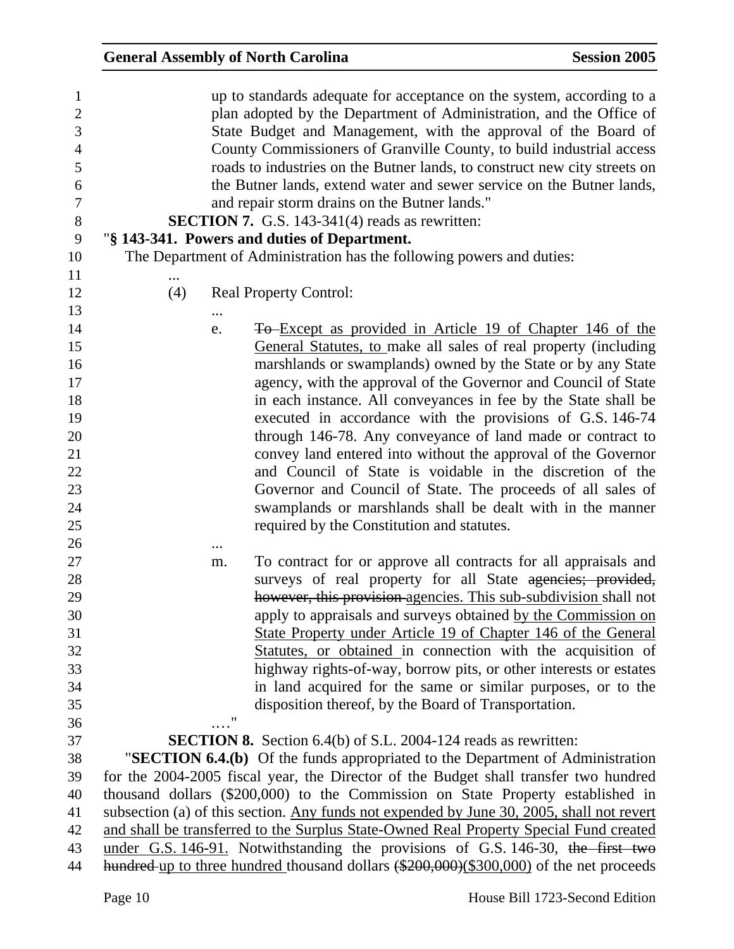| $\mathbf{1}$     |     |    | up to standards adequate for acceptance on the system, according to a                     |
|------------------|-----|----|-------------------------------------------------------------------------------------------|
| $\overline{2}$   |     |    | plan adopted by the Department of Administration, and the Office of                       |
| 3                |     |    | State Budget and Management, with the approval of the Board of                            |
| $\overline{4}$   |     |    | County Commissioners of Granville County, to build industrial access                      |
| 5                |     |    | roads to industries on the Butner lands, to construct new city streets on                 |
| 6                |     |    | the Butner lands, extend water and sewer service on the Butner lands,                     |
| $\boldsymbol{7}$ |     |    | and repair storm drains on the Butner lands."                                             |
| $8\,$            |     |    | <b>SECTION 7.</b> G.S. 143-341(4) reads as rewritten:                                     |
| 9                |     |    | "§ 143-341. Powers and duties of Department.                                              |
| 10               |     |    | The Department of Administration has the following powers and duties:                     |
| 11               |     |    |                                                                                           |
| 12               | (4) |    | <b>Real Property Control:</b>                                                             |
| 13               |     |    |                                                                                           |
| 14               |     | e. | To Except as provided in Article 19 of Chapter 146 of the                                 |
| 15               |     |    | General Statutes, to make all sales of real property (including                           |
| 16               |     |    | marshlands or swamplands) owned by the State or by any State                              |
| 17               |     |    | agency, with the approval of the Governor and Council of State                            |
| 18               |     |    | in each instance. All conveyances in fee by the State shall be                            |
| 19               |     |    | executed in accordance with the provisions of G.S. 146-74                                 |
| 20               |     |    | through 146-78. Any conveyance of land made or contract to                                |
| 21               |     |    | convey land entered into without the approval of the Governor                             |
| 22               |     |    | and Council of State is voidable in the discretion of the                                 |
| 23               |     |    | Governor and Council of State. The proceeds of all sales of                               |
| 24               |     |    | swamplands or marshlands shall be dealt with in the manner                                |
| 25               |     |    | required by the Constitution and statutes.                                                |
| 26               |     |    |                                                                                           |
| 27               |     | m. | To contract for or approve all contracts for all appraisals and                           |
| 28               |     |    | surveys of real property for all State agencies; provided,                                |
| 29               |     |    | however, this provision agencies. This sub-subdivision shall not                          |
| 30               |     |    | apply to appraisals and surveys obtained by the Commission on                             |
| 31               |     |    | State Property under Article 19 of Chapter 146 of the General                             |
| 32               |     |    | Statutes, or obtained in connection with the acquisition of                               |
| 33               |     |    | highway rights-of-way, borrow pits, or other interests or estates                         |
| 34               |     |    | in land acquired for the same or similar purposes, or to the                              |
| 35               |     |    | disposition thereof, by the Board of Transportation.                                      |
| 36               |     | ,, |                                                                                           |
| 37               |     |    | <b>SECTION 8.</b> Section 6.4(b) of S.L. 2004-124 reads as rewritten:                     |
| 38               |     |    | "SECTION 6.4.(b) Of the funds appropriated to the Department of Administration            |
| 39               |     |    | for the 2004-2005 fiscal year, the Director of the Budget shall transfer two hundred      |
| 40               |     |    | thousand dollars (\$200,000) to the Commission on State Property established in           |
| 41               |     |    | subsection (a) of this section. Any funds not expended by June 30, 2005, shall not revert |
| 42               |     |    | and shall be transferred to the Surplus State-Owned Real Property Special Fund created    |
| 43               |     |    | under G.S. 146-91. Notwithstanding the provisions of G.S. 146-30, the first two           |
| 44               |     |    | hundred up to three hundred thousand dollars (\$200,000)(\$300,000) of the net proceeds   |